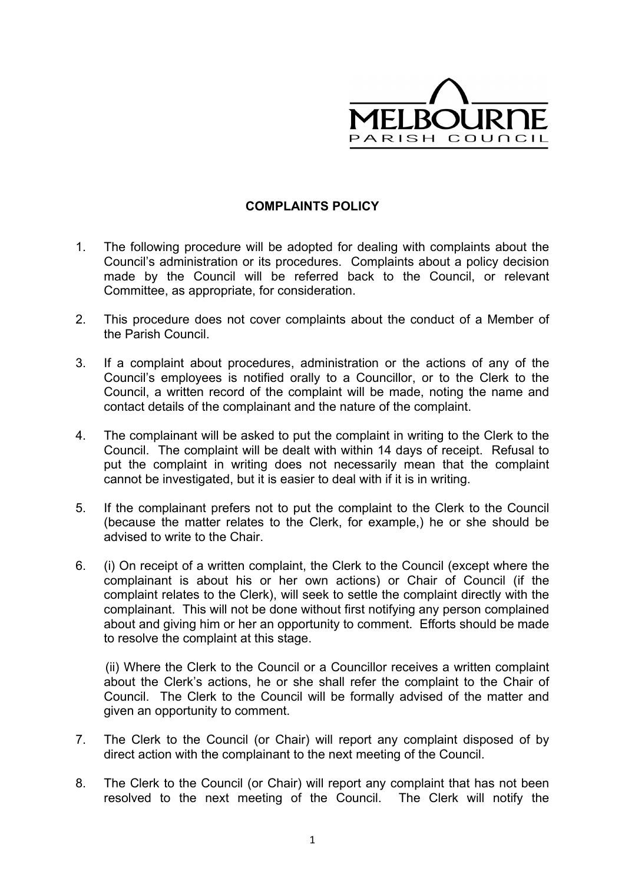

## **COMPLAINTS POLICY**

- 1. The following procedure will be adopted for dealing with complaints about the Council's administration or its procedures. Complaints about a policy decision made by the Council will be referred back to the Council, or relevant Committee, as appropriate, for consideration.
- 2. This procedure does not cover complaints about the conduct of a Member of the Parish Council.
- 3. If a complaint about procedures, administration or the actions of any of the Council's employees is notified orally to a Councillor, or to the Clerk to the Council, a written record of the complaint will be made, noting the name and contact details of the complainant and the nature of the complaint.
- 4. The complainant will be asked to put the complaint in writing to the Clerk to the Council. The complaint will be dealt with within 14 days of receipt. Refusal to put the complaint in writing does not necessarily mean that the complaint cannot be investigated, but it is easier to deal with if it is in writing.
- 5. If the complainant prefers not to put the complaint to the Clerk to the Council (because the matter relates to the Clerk, for example,) he or she should be advised to write to the Chair.
- 6. (i) On receipt of a written complaint, the Clerk to the Council (except where the complainant is about his or her own actions) or Chair of Council (if the complaint relates to the Clerk), will seek to settle the complaint directly with the complainant. This will not be done without first notifying any person complained about and giving him or her an opportunity to comment. Efforts should be made to resolve the complaint at this stage.

(ii) Where the Clerk to the Council or a Councillor receives a written complaint about the Clerk's actions, he or she shall refer the complaint to the Chair of Council. The Clerk to the Council will be formally advised of the matter and given an opportunity to comment.

- 7. The Clerk to the Council (or Chair) will report any complaint disposed of by direct action with the complainant to the next meeting of the Council.
- 8. The Clerk to the Council (or Chair) will report any complaint that has not been resolved to the next meeting of the Council. The Clerk will notify the